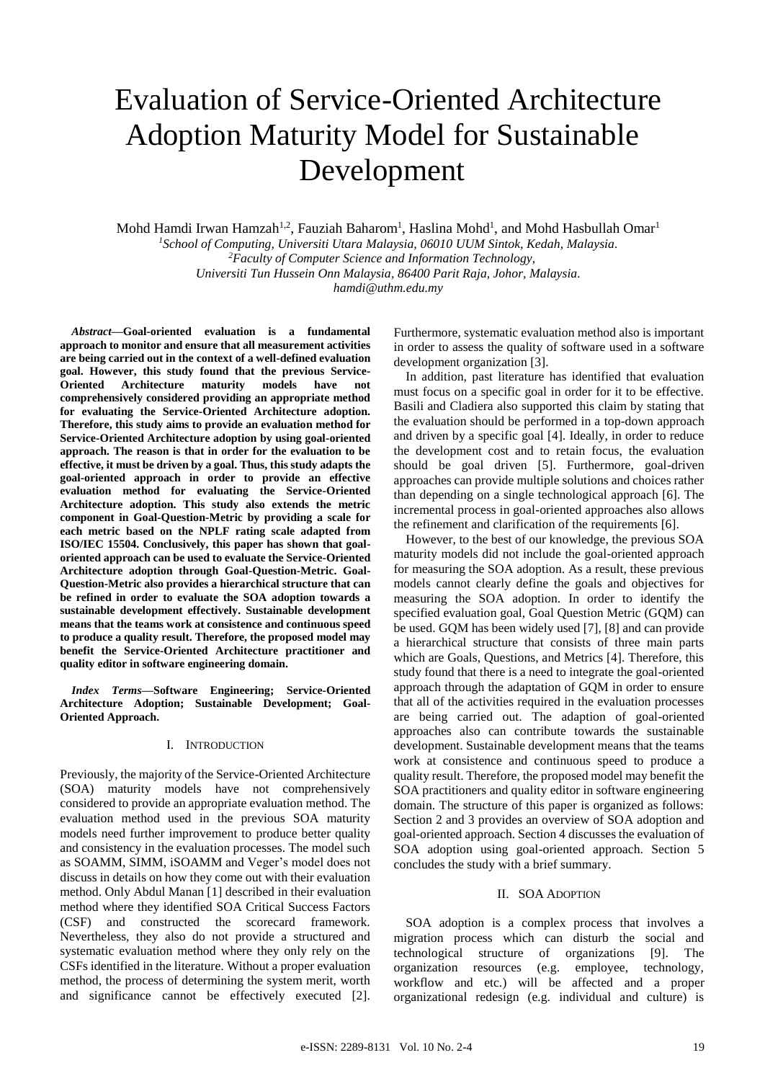# Evaluation of Service-Oriented Architecture Adoption Maturity Model for Sustainable Development

Mohd Hamdi Irwan Hamzah<sup>1,2</sup>, Fauziah Baharom<sup>1</sup>, Haslina Mohd<sup>1</sup>, and Mohd Hasbullah Omar<sup>1</sup> *<sup>1</sup>School of Computing, Universiti Utara Malaysia, 06010 UUM Sintok, Kedah, Malaysia. <sup>2</sup>Faculty of Computer Science and Information Technology, Universiti Tun Hussein Onn Malaysia, 86400 Parit Raja, Johor, Malaysia. hamdi@uthm.edu.my*

*Abstract***—Goal-oriented evaluation is a fundamental approach to monitor and ensure that all measurement activities are being carried out in the context of a well-defined evaluation goal. However, this study found that the previous Service-Oriented Architecture maturity models have not comprehensively considered providing an appropriate method for evaluating the Service-Oriented Architecture adoption. Therefore, this study aims to provide an evaluation method for Service-Oriented Architecture adoption by using goal-oriented approach. The reason is that in order for the evaluation to be effective, it must be driven by a goal. Thus, this study adapts the goal-oriented approach in order to provide an effective evaluation method for evaluating the Service-Oriented Architecture adoption. This study also extends the metric component in Goal-Question-Metric by providing a scale for each metric based on the NPLF rating scale adapted from ISO/IEC 15504. Conclusively, this paper has shown that goaloriented approach can be used to evaluate the Service-Oriented Architecture adoption through Goal-Question-Metric. Goal-Question-Metric also provides a hierarchical structure that can be refined in order to evaluate the SOA adoption towards a sustainable development effectively. Sustainable development means that the teams work at consistence and continuous speed to produce a quality result. Therefore, the proposed model may benefit the Service-Oriented Architecture practitioner and quality editor in software engineering domain.**

*Index Terms—***Software Engineering; Service-Oriented Architecture Adoption; Sustainable Development; Goal-Oriented Approach.**

# I. INTRODUCTION

Previously, the majority of the Service-Oriented Architecture (SOA) maturity models have not comprehensively considered to provide an appropriate evaluation method. The evaluation method used in the previous SOA maturity models need further improvement to produce better quality and consistency in the evaluation processes. The model such as SOAMM, SIMM, iSOAMM and Veger's model does not discuss in details on how they come out with their evaluation method. Only Abdul Manan [1] described in their evaluation method where they identified SOA Critical Success Factors (CSF) and constructed the scorecard framework. Nevertheless, they also do not provide a structured and systematic evaluation method where they only rely on the CSFs identified in the literature. Without a proper evaluation method, the process of determining the system merit, worth and significance cannot be effectively executed [2].

Furthermore, systematic evaluation method also is important in order to assess the quality of software used in a software development organization [3].

In addition, past literature has identified that evaluation must focus on a specific goal in order for it to be effective. Basili and Cladiera also supported this claim by stating that the evaluation should be performed in a top-down approach and driven by a specific goal [4]. Ideally, in order to reduce the development cost and to retain focus, the evaluation should be goal driven [5]. Furthermore, goal-driven approaches can provide multiple solutions and choices rather than depending on a single technological approach [6]. The incremental process in goal-oriented approaches also allows the refinement and clarification of the requirements [6].

However, to the best of our knowledge, the previous SOA maturity models did not include the goal-oriented approach for measuring the SOA adoption. As a result, these previous models cannot clearly define the goals and objectives for measuring the SOA adoption. In order to identify the specified evaluation goal, Goal Question Metric (GOM) can be used. GQM has been widely used [7], [8] and can provide a hierarchical structure that consists of three main parts which are Goals, Questions, and Metrics [4]. Therefore, this study found that there is a need to integrate the goal-oriented approach through the adaptation of GQM in order to ensure that all of the activities required in the evaluation processes are being carried out. The adaption of goal-oriented approaches also can contribute towards the sustainable development. Sustainable development means that the teams work at consistence and continuous speed to produce a quality result. Therefore, the proposed model may benefit the SOA practitioners and quality editor in software engineering domain. The structure of this paper is organized as follows: Section 2 and 3 provides an overview of SOA adoption and goal-oriented approach. Section 4 discusses the evaluation of SOA adoption using goal-oriented approach. Section 5 concludes the study with a brief summary.

# II. SOA ADOPTION

SOA adoption is a complex process that involves a migration process which can disturb the social and technological structure of organizations [9]. The organization resources (e.g. employee, technology, workflow and etc.) will be affected and a proper organizational redesign (e.g. individual and culture) is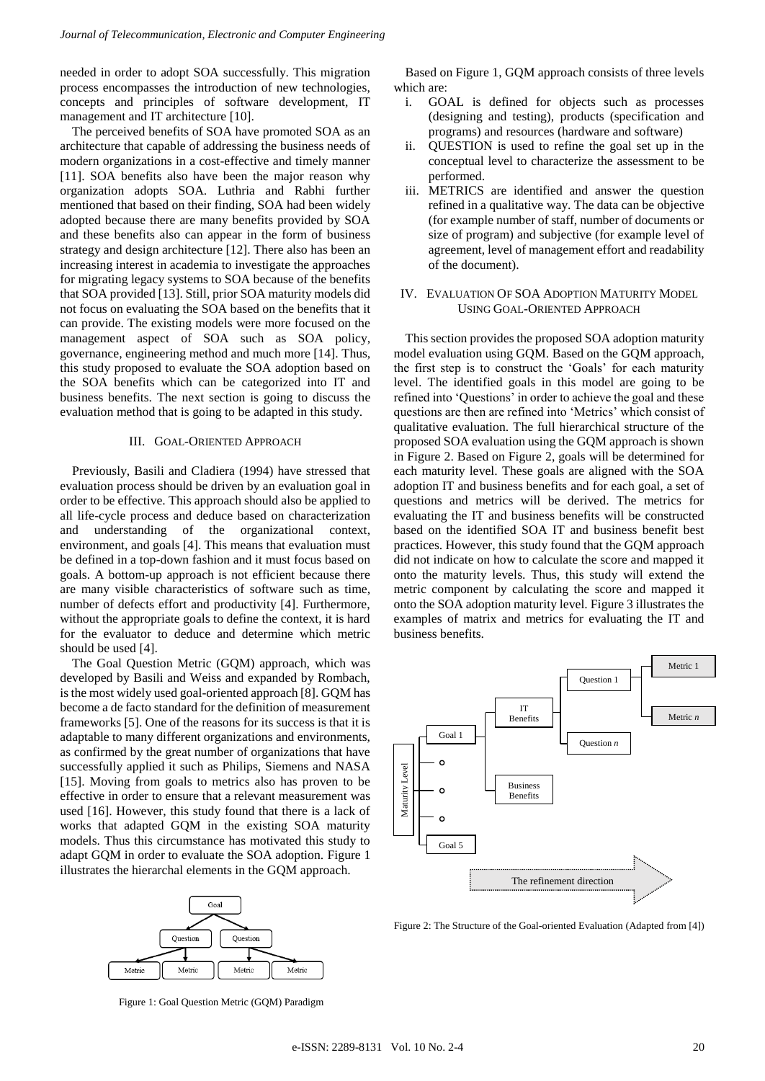needed in order to adopt SOA successfully. This migration process encompasses the introduction of new technologies, concepts and principles of software development, IT management and IT architecture [10].

The perceived benefits of SOA have promoted SOA as an architecture that capable of addressing the business needs of modern organizations in a cost-effective and timely manner [11]. SOA benefits also have been the major reason why organization adopts SOA. Luthria and Rabhi further mentioned that based on their finding, SOA had been widely adopted because there are many benefits provided by SOA and these benefits also can appear in the form of business strategy and design architecture [12]. There also has been an increasing interest in academia to investigate the approaches for migrating legacy systems to SOA because of the benefits that SOA provided [13]. Still, prior SOA maturity models did not focus on evaluating the SOA based on the benefits that it can provide. The existing models were more focused on the management aspect of SOA such as SOA policy, governance, engineering method and much more [14]. Thus, this study proposed to evaluate the SOA adoption based on the SOA benefits which can be categorized into IT and business benefits. The next section is going to discuss the evaluation method that is going to be adapted in this study.

#### III. GOAL-ORIENTED APPROACH

Previously, Basili and Cladiera (1994) have stressed that evaluation process should be driven by an evaluation goal in order to be effective. This approach should also be applied to all life-cycle process and deduce based on characterization and understanding of the organizational context, environment, and goals [4]. This means that evaluation must be defined in a top-down fashion and it must focus based on goals. A bottom-up approach is not efficient because there are many visible characteristics of software such as time, number of defects effort and productivity [4]. Furthermore, without the appropriate goals to define the context, it is hard for the evaluator to deduce and determine which metric should be used [4].

The Goal Question Metric (GQM) approach, which was developed by Basili and Weiss and expanded by Rombach, is the most widely used goal-oriented approach [8]. GQM has become a de facto standard for the definition of measurement frameworks [5]. One of the reasons for its success is that it is adaptable to many different organizations and environments, as confirmed by the great number of organizations that have successfully applied it such as Philips, Siemens and NASA [15]. Moving from goals to metrics also has proven to be effective in order to ensure that a relevant measurement was used [16]. However, this study found that there is a lack of works that adapted GQM in the existing SOA maturity models. Thus this circumstance has motivated this study to adapt GQM in order to evaluate the SOA adoption. Figure 1 illustrates the hierarchal elements in the GQM approach.



Figure 1: Goal Question Metric (GQM) Paradigm

Based on Figure 1, GQM approach consists of three levels which are:

- i. GOAL is defined for objects such as processes (designing and testing), products (specification and programs) and resources (hardware and software)
- ii. QUESTION is used to refine the goal set up in the conceptual level to characterize the assessment to be performed.
- iii. METRICS are identified and answer the question refined in a qualitative way. The data can be objective (for example number of staff, number of documents or size of program) and subjective (for example level of agreement, level of management effort and readability of the document).
- IV. EVALUATION OF SOA ADOPTION MATURITY MODEL USING GOAL-ORIENTED APPROACH

This section provides the proposed SOA adoption maturity model evaluation using GQM. Based on the GQM approach, the first step is to construct the 'Goals' for each maturity level. The identified goals in this model are going to be refined into 'Questions' in order to achieve the goal and these questions are then are refined into 'Metrics' which consist of qualitative evaluation. The full hierarchical structure of the proposed SOA evaluation using the GQM approach is shown in Figure 2. Based on Figure 2, goals will be determined for each maturity level. These goals are aligned with the SOA adoption IT and business benefits and for each goal, a set of questions and metrics will be derived. The metrics for evaluating the IT and business benefits will be constructed based on the identified SOA IT and business benefit best practices. However, this study found that the GQM approach did not indicate on how to calculate the score and mapped it onto the maturity levels. Thus, this study will extend the metric component by calculating the score and mapped it onto the SOA adoption maturity level. Figure 3 illustrates the examples of matrix and metrics for evaluating the IT and business benefits.

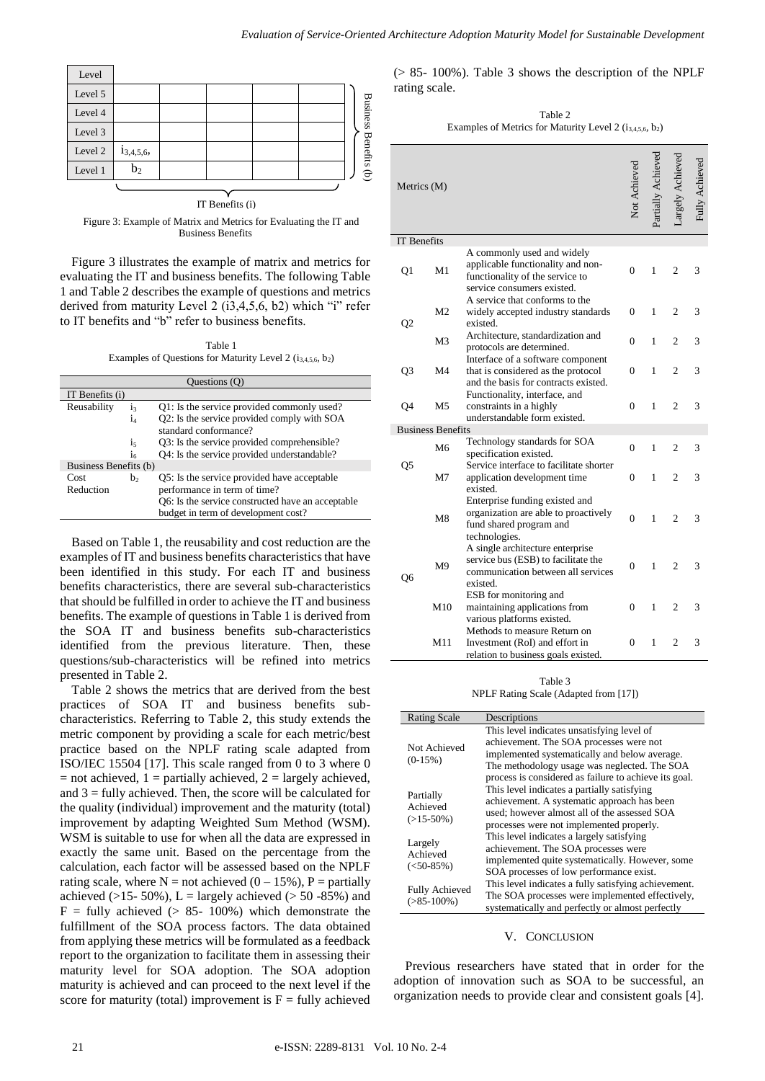

Figure 3: Example of Matrix and Metrics for Evaluating the IT and Business Benefits

Figure 3 illustrates the example of matrix and metrics for evaluating the IT and business benefits. The following Table 1 and Table 2 describes the example of questions and metrics derived from maturity Level 2 (i3,4,5,6, b2) which "i" refer to IT benefits and "b" refer to business benefits.

Table 1 Examples of Questions for Maturity Level 2  $(i_{3,4,5,6}, b_2)$ 

| Questions (Q)         |                |                                                                                          |  |  |
|-----------------------|----------------|------------------------------------------------------------------------------------------|--|--|
| IT Benefits $(i)$     |                |                                                                                          |  |  |
| Reusability           | $i_3$          | Q1: Is the service provided commonly used?                                               |  |  |
|                       | İд             | Q2: Is the service provided comply with SOA<br>standard conformance?                     |  |  |
|                       | $i_{5}$        | Q3: Is the service provided comprehensible?                                              |  |  |
|                       | 1 <sub>6</sub> | Q4: Is the service provided understandable?                                              |  |  |
| Business Benefits (b) |                |                                                                                          |  |  |
| Cost                  | b,             | Q5: Is the service provided have acceptable                                              |  |  |
| Reduction             |                | performance in term of time?                                                             |  |  |
|                       |                | O6: Is the service constructed have an acceptable<br>budget in term of development cost? |  |  |

Based on Table 1, the reusability and cost reduction are the examples of IT and business benefits characteristics that have been identified in this study. For each IT and business benefits characteristics, there are several sub-characteristics that should be fulfilled in order to achieve the IT and business benefits. The example of questions in Table 1 is derived from the SOA IT and business benefits sub-characteristics identified from the previous literature. Then, these questions/sub-characteristics will be refined into metrics presented in Table 2.

Table 2 shows the metrics that are derived from the best practices of SOA IT and business benefits subcharacteristics. Referring to Table 2, this study extends the metric component by providing a scale for each metric/best practice based on the NPLF rating scale adapted from ISO/IEC 15504 [17]. This scale ranged from 0 to 3 where 0  $=$  not achieved, 1 = partially achieved, 2 = largely achieved, and  $3 =$  fully achieved. Then, the score will be calculated for the quality (individual) improvement and the maturity (total) improvement by adapting Weighted Sum Method (WSM). WSM is suitable to use for when all the data are expressed in exactly the same unit. Based on the percentage from the calculation, each factor will be assessed based on the NPLF rating scale, where  $N = not$  achieved  $(0 - 15\%)$ ,  $P =$  partially achieved ( $>15-50\%$ ), L = largely achieved ( $>50-85\%$ ) and  $F =$  fully achieved (> 85- 100%) which demonstrate the fulfillment of the SOA process factors. The data obtained from applying these metrics will be formulated as a feedback report to the organization to facilitate them in assessing their maturity level for SOA adoption. The SOA adoption maturity is achieved and can proceed to the next level if the score for maturity (total) improvement is  $F =$  fully achieved

(> 85- 100%). Table 3 shows the description of the NPLF rating scale.

Table 2 Examples of Metrics for Maturity Level 2  $(i_{3,4,5,6}, b_2)$ 

| Metrics (M)        |                          |                                                                                                                                  | Not Achievec   | artially Achieved | argely Achievec | ully Achieved |
|--------------------|--------------------------|----------------------------------------------------------------------------------------------------------------------------------|----------------|-------------------|-----------------|---------------|
| <b>IT Benefits</b> |                          |                                                                                                                                  |                |                   |                 |               |
| Q1                 | M1                       | A commonly used and widely<br>applicable functionality and non-<br>functionality of the service to<br>service consumers existed. | $\overline{0}$ | 1                 | $\overline{c}$  | 3             |
| $_{\rm Q2}$        | M <sub>2</sub>           | A service that conforms to the<br>widely accepted industry standards<br>existed.                                                 | 0              | 1                 | 2               | 3             |
|                    | M3                       | Architecture, standardization and<br>protocols are determined.                                                                   | $\Omega$       | 1                 | 2               | 3             |
| Q3                 | M <sub>4</sub>           | Interface of a software component<br>that is considered as the protocol<br>and the basis for contracts existed.                  | $\Omega$       | 1                 | $\overline{c}$  | 3             |
| Q4                 | M <sub>5</sub>           | Functionality, interface, and<br>constraints in a highly<br>understandable form existed.                                         | $\theta$       | 1                 | $\overline{c}$  | 3             |
|                    | <b>Business Benefits</b> |                                                                                                                                  |                |                   |                 |               |
| Q5                 | M6                       | Technology standards for SOA<br>specification existed.                                                                           | $\theta$       | 1                 | 2               | 3             |
|                    | M <sub>7</sub>           | Service interface to facilitate shorter<br>application development time<br>existed.                                              | 0              | 1                 | $\overline{c}$  | 3             |
| Q6                 | M8                       | Enterprise funding existed and<br>organization are able to proactively<br>fund shared program and<br>technologies.               | $\theta$       | 1                 | 2               | 3             |
|                    | M9                       | A single architecture enterprise<br>service bus (ESB) to facilitate the<br>communication between all services<br>existed.        | $\overline{0}$ | 1                 | $\overline{c}$  | 3             |
|                    | M10                      | ESB for monitoring and<br>maintaining applications from<br>various platforms existed.                                            | $\mathbf{0}$   | 1                 | $\overline{c}$  | 3             |
|                    | M11                      | Methods to measure Return on<br>Investment (RoI) and effort in<br>relation to business goals existed.                            | 0              | 1                 | 2               | 3             |

Table 3 NPLF Rating Scale (Adapted from [17])

| <b>Rating Scale</b>                     | Descriptions                                                                                                                                                                                                                                    |  |
|-----------------------------------------|-------------------------------------------------------------------------------------------------------------------------------------------------------------------------------------------------------------------------------------------------|--|
| Not Achieved<br>$(0-15%)$               | This level indicates unsatisfying level of<br>achievement. The SOA processes were not<br>implemented systematically and below average.<br>The methodology usage was neglected. The SOA<br>process is considered as failure to achieve its goal. |  |
| Partially<br>Achieved<br>$(>15-50\%)$   | This level indicates a partially satisfying<br>achievement. A systematic approach has been<br>used; however almost all of the assessed SOA<br>processes were not implemented properly.                                                          |  |
| Largely<br>Achieved<br>$(<50-85\%)$     | This level indicates a largely satisfying<br>achievement. The SOA processes were<br>implemented quite systematically. However, some<br>SOA processes of low performance exist.                                                                  |  |
| <b>Fully Achieved</b><br>$( >85-100\%)$ | This level indicates a fully satisfying achievement.<br>The SOA processes were implemented effectively,<br>systematically and perfectly or almost perfectly                                                                                     |  |

# V. CONCLUSION

Previous researchers have stated that in order for the adoption of innovation such as SOA to be successful, an organization needs to provide clear and consistent goals [4].